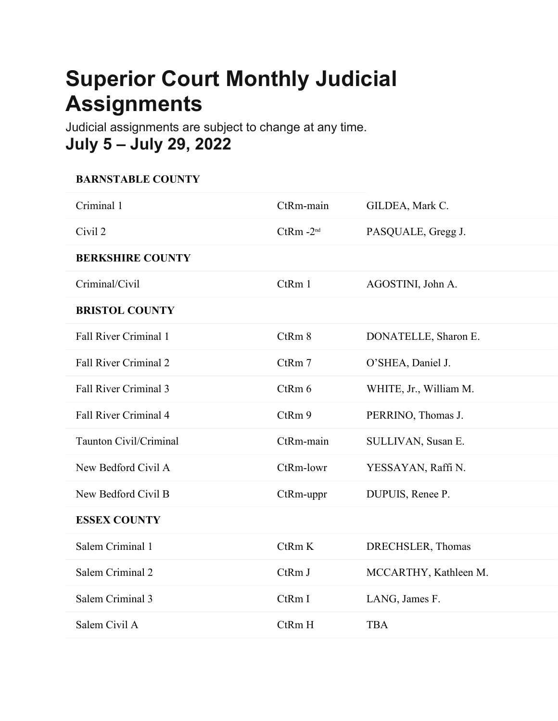## **Superior Court Monthly Judicial Assignments**

Judicial assignments are subject to change at any time. **July 5 – July 29, 2022**

## **BARNSTABLE COUNTY**

| Criminal 1                   | CtRm-main    | GILDEA, Mark C.        |
|------------------------------|--------------|------------------------|
| Civil 2                      | $CtRm - 2nd$ | PASQUALE, Gregg J.     |
| <b>BERKSHIRE COUNTY</b>      |              |                        |
| Criminal/Civil               | CtRm 1       | AGOSTINI, John A.      |
| <b>BRISTOL COUNTY</b>        |              |                        |
| <b>Fall River Criminal 1</b> | CtRm 8       | DONATELLE, Sharon E.   |
| Fall River Criminal 2        | CtRm 7       | O'SHEA, Daniel J.      |
| Fall River Criminal 3        | CtRm 6       | WHITE, Jr., William M. |
| Fall River Criminal 4        | CtRm 9       | PERRINO, Thomas J.     |
| Taunton Civil/Criminal       | CtRm-main    | SULLIVAN, Susan E.     |
| New Bedford Civil A          | CtRm-lowr    | YESSAYAN, Raffi N.     |
| New Bedford Civil B          | CtRm-uppr    | DUPUIS, Renee P.       |
| <b>ESSEX COUNTY</b>          |              |                        |
| Salem Criminal 1             | CtRmK        | DRECHSLER, Thomas      |
| Salem Criminal 2             | CtRm J       | MCCARTHY, Kathleen M.  |
| Salem Criminal 3             | CtRm I       | LANG, James F.         |
| Salem Civil A                | CtRm H       | <b>TBA</b>             |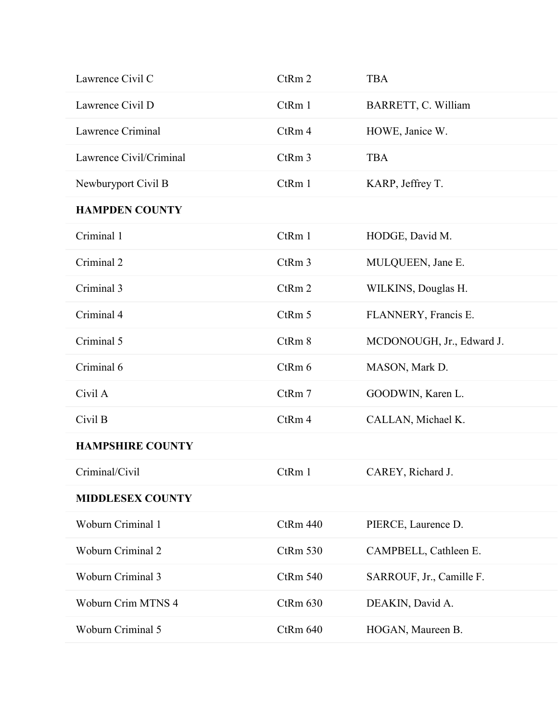| Lawrence Civil C         | CtRm 2          | <b>TBA</b>                |
|--------------------------|-----------------|---------------------------|
| Lawrence Civil D         | CtRm 1          | BARRETT, C. William       |
| Lawrence Criminal        | CtRm 4          | HOWE, Janice W.           |
| Lawrence Civil/Criminal  | CtRm 3          | <b>TBA</b>                |
| Newburyport Civil B      | CtRm 1          | KARP, Jeffrey T.          |
| <b>HAMPDEN COUNTY</b>    |                 |                           |
| Criminal 1               | CtRm 1          | HODGE, David M.           |
| Criminal 2               | CtRm 3          | MULQUEEN, Jane E.         |
| Criminal 3               | CtRm 2          | WILKINS, Douglas H.       |
| Criminal 4               | CtRm 5          | FLANNERY, Francis E.      |
| Criminal 5               | CtRm 8          | MCDONOUGH, Jr., Edward J. |
| Criminal 6               | CtRm 6          | MASON, Mark D.            |
| Civil A                  | CtRm 7          | GOODWIN, Karen L.         |
| Civil B                  | CtRm 4          | CALLAN, Michael K.        |
| <b>HAMPSHIRE COUNTY</b>  |                 |                           |
| Criminal/Civil           | CtRm 1          | CAREY, Richard J.         |
| <b>MIDDLESEX COUNTY</b>  |                 |                           |
| Woburn Criminal 1        | CtRm 440        | PIERCE, Laurence D.       |
| Woburn Criminal 2        | CtRm 530        | CAMPBELL, Cathleen E.     |
|                          |                 |                           |
| <b>Woburn Criminal 3</b> | <b>CtRm 540</b> | SARROUF, Jr., Camille F.  |
| Woburn Crim MTNS 4       | CtRm 630        | DEAKIN, David A.          |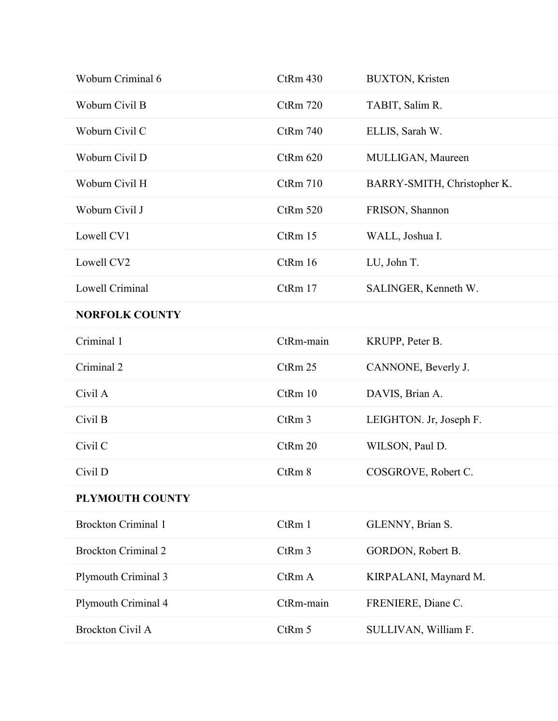| Woburn Criminal 6          | CtRm 430        | <b>BUXTON, Kristen</b>      |
|----------------------------|-----------------|-----------------------------|
| Woburn Civil B             | CtRm 720        | TABIT, Salim R.             |
| Woburn Civil C             | CtRm 740        | ELLIS, Sarah W.             |
| Woburn Civil D             | CtRm 620        | MULLIGAN, Maureen           |
| Woburn Civil H             | <b>CtRm 710</b> | BARRY-SMITH, Christopher K. |
| Woburn Civil J             | <b>CtRm 520</b> | FRISON, Shannon             |
| Lowell CV1                 | CtRm 15         | WALL, Joshua I.             |
| Lowell CV2                 | CtRm 16         | LU, John T.                 |
| Lowell Criminal            | CtRm 17         | SALINGER, Kenneth W.        |
| <b>NORFOLK COUNTY</b>      |                 |                             |
| Criminal 1                 | CtRm-main       | KRUPP, Peter B.             |
| Criminal 2                 | CtRm 25         | CANNONE, Beverly J.         |
| Civil A                    | CtRm 10         | DAVIS, Brian A.             |
| Civil B                    | CtRm 3          | LEIGHTON. Jr, Joseph F.     |
| Civil C                    | CtRm 20         | WILSON, Paul D.             |
| Civil D                    | CtRm 8          | COSGROVE, Robert C.         |
| PLYMOUTH COUNTY            |                 |                             |
| <b>Brockton Criminal 1</b> | CtRm 1          | GLENNY, Brian S.            |
| <b>Brockton Criminal 2</b> | CtRm 3          | GORDON, Robert B.           |
| Plymouth Criminal 3        | CtRm A          | KIRPALANI, Maynard M.       |
|                            |                 |                             |
| Plymouth Criminal 4        | CtRm-main       | FRENIERE, Diane C.          |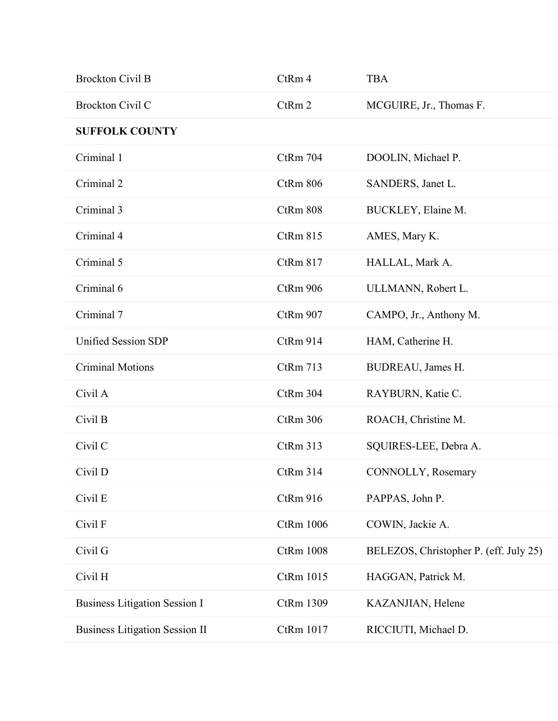| <b>Brockton Civil B</b>               | CtRm 4           | <b>TBA</b>                             |
|---------------------------------------|------------------|----------------------------------------|
| Brockton Civil C                      | CtRm 2           | MCGUIRE, Jr., Thomas F.                |
| <b>SUFFOLK COUNTY</b>                 |                  |                                        |
| Criminal 1                            | CtRm 704         | DOOLIN, Michael P.                     |
| Criminal 2                            | CtRm 806         | SANDERS, Janet L.                      |
| Criminal 3                            | CtRm 808         | BUCKLEY, Elaine M.                     |
| Criminal 4                            | CtRm 815         | AMES, Mary K.                          |
| Criminal 5                            | CtRm 817         | HALLAL, Mark A.                        |
| Criminal 6                            | CtRm 906         | ULLMANN, Robert L.                     |
| Criminal 7                            | CtRm 907         | CAMPO, Jr., Anthony M.                 |
| <b>Unified Session SDP</b>            | CtRm 914         | HAM, Catherine H.                      |
| <b>Criminal Motions</b>               | CtRm 713         | BUDREAU, James H.                      |
| Civil A                               | CtRm 304         | RAYBURN, Katie C.                      |
| Civil B                               | CtRm 306         | ROACH, Christine M.                    |
| Civil C                               | CtRm 313         | SQUIRES-LEE, Debra A.                  |
| Civil D                               | CtRm 314         | CONNOLLY, Rosemary                     |
| Civil E                               | CtRm 916         | PAPPAS, John P.                        |
| Civil F                               | CtRm 1006        | COWIN, Jackie A.                       |
| Civil G                               | <b>CtRm 1008</b> | BELEZOS, Christopher P. (eff. July 25) |
| Civil H                               | CtRm 1015        | HAGGAN, Patrick M.                     |
| <b>Business Litigation Session I</b>  | CtRm 1309        | KAZANJIAN, Helene                      |
| <b>Business Litigation Session II</b> | CtRm 1017        | RICCIUTI, Michael D.                   |